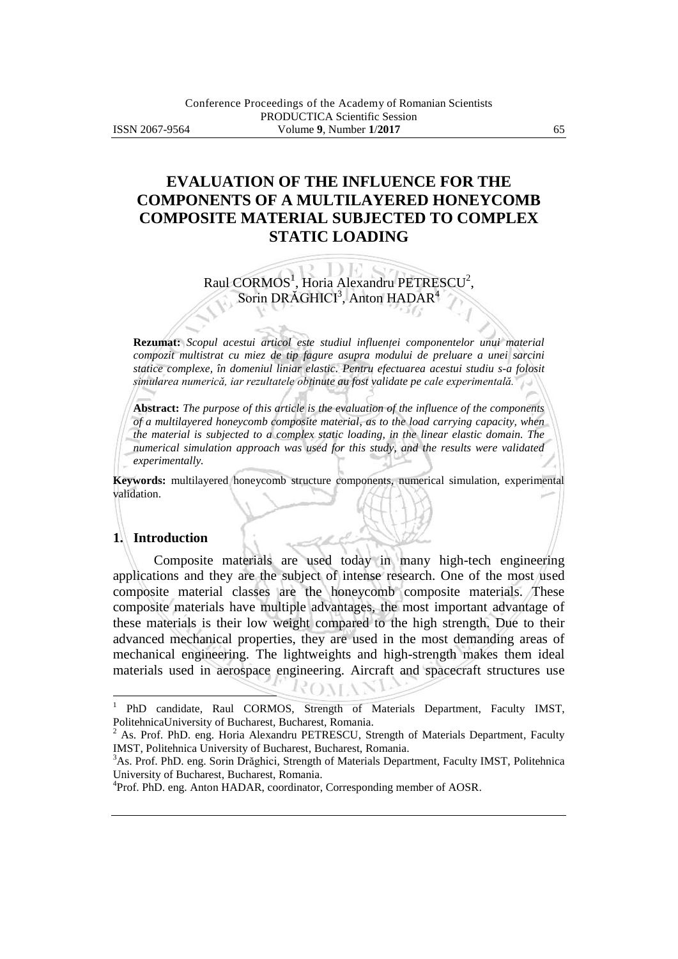# **EVALUATION OF THE INFLUENCE FOR THE COMPONENTS OF A MULTILAYERED HONEYCOMB COMPOSITE MATERIAL SUBJECTED TO COMPLEX STATIC LOADING**

# Raul  $CORMOS<sup>1</sup>$ , Horia Alexandru PETRESCU<sup>2</sup>, Sorin DRĂGHICI<sup>3</sup>, Anton HADAR<sup>4</sup>

**Rezumat:** *Scopul acestui articol este studiul influenţei componentelor unui material compozit multistrat cu miez de tip fagure asupra modului de preluare a unei sarcini statice complexe, în domeniul liniar elastic. Pentru efectuarea acestui studiu s-a folosit simularea numerică, iar rezultatele obţinute au fost validate pe cale experimentală.*

**Abstract:** *The purpose of this article is the evaluation of the influence of the components of a multilayered honeycomb composite material, as to the load carrying capacity, when the material is subjected to a complex static loading, in the linear elastic domain. The numerical simulation approach was used for this study, and the results were validated experimentally.*

**Keywords:** multilayered honeycomb structure components, numerical simulation, experimental validation.

#### **1. Introduction**

 $\overline{a}$ 

Composite materials are used today in many high-tech engineering applications and they are the subject of intense research. One of the most used composite material classes are the honeycomb composite materials. These composite materials have multiple advantages, the most important advantage of these materials is their low weight compared to the high strength. Due to their advanced mechanical properties, they are used in the most demanding areas of mechanical engineering. The lightweights and high-strength makes them ideal materials used in aerospace engineering. Aircraft and spacecraft structures use

<sup>1</sup> PhD candidate, Raul CORMOS, Strength of Materials Department, Faculty IMST, PolitehnicaUniversity of Bucharest, Bucharest, Romania.

<sup>2</sup> As. Prof. PhD. eng. Horia Alexandru PETRESCU, Strength of Materials Department, Faculty IMST, Politehnica University of Bucharest, Bucharest, Romania.

<sup>&</sup>lt;sup>3</sup>As. Prof. PhD. eng. Sorin Drăghici, Strength of Materials Department, Faculty IMST, Politehnica University of Bucharest, Bucharest, Romania.

<sup>&</sup>lt;sup>4</sup>Prof. PhD. eng. Anton HADAR, coordinator, Corresponding member of AOSR.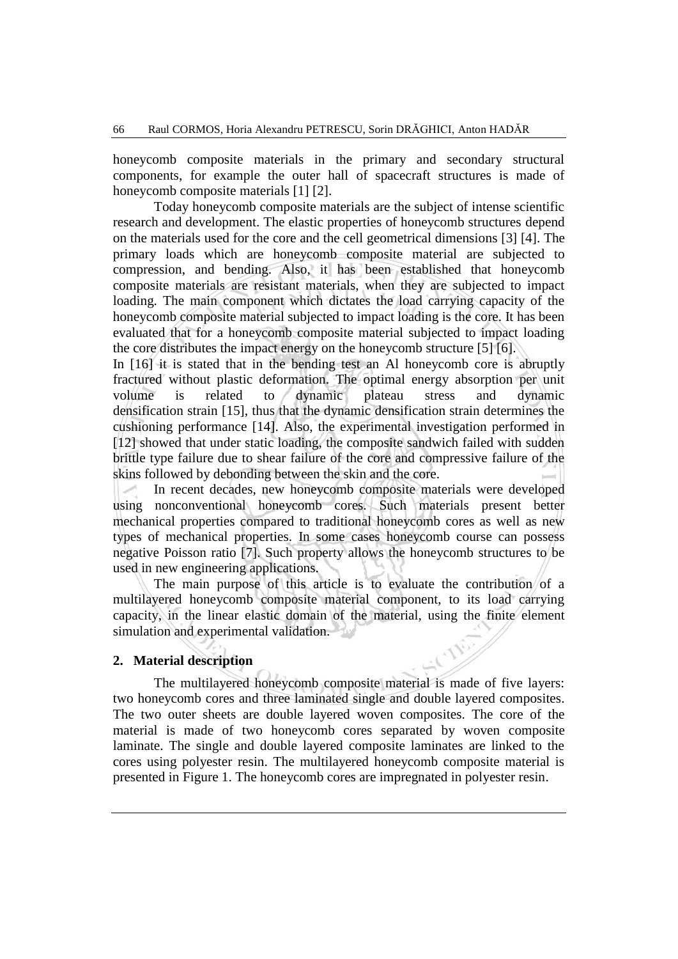honeycomb composite materials in the primary and secondary structural components, for example the outer hall of spacecraft structures is made of honeycomb composite materials [1] [2].

Today honeycomb composite materials are the subject of intense scientific research and development. The elastic properties of honeycomb structures depend on the materials used for the core and the cell geometrical dimensions [3] [4]. The primary loads which are honeycomb composite material are subjected to compression, and bending. Also, it has been established that honeycomb composite materials are resistant materials, when they are subjected to impact loading. The main component which dictates the load carrying capacity of the honeycomb composite material subjected to impact loading is the core. It has been evaluated that for a honeycomb composite material subjected to impact loading the core distributes the impact energy on the honeycomb structure [5] [6].

In [16] it is stated that in the bending test an Al honeycomb core is abruptly fractured without plastic deformation. The optimal energy absorption per unit volume is related to dynamic plateau stress and dynamic densification strain [15], thus that the dynamic densification strain determines the cushioning performance [14]. Also, the experimental investigation performed in [12] showed that under static loading, the composite sandwich failed with sudden brittle type failure due to shear failure of the core and compressive failure of the skins followed by debonding between the skin and the core.

In recent decades, new honeycomb composite materials were developed using nonconventional honeycomb cores. Such materials present better mechanical properties compared to traditional honeycomb cores as well as new types of mechanical properties. In some cases honeycomb course can possess negative Poisson ratio [7]. Such property allows the honeycomb structures to be used in new engineering applications.

The main purpose of this article is to evaluate the contribution of a multilayered honeycomb composite material component, to its load carrying capacity, in the linear elastic domain of the material, using the finite element simulation and experimental validation.

#### **2. Material description**

The multilayered honeycomb composite material is made of five layers: two honeycomb cores and three laminated single and double layered composites. The two outer sheets are double layered woven composites. The core of the material is made of two honeycomb cores separated by woven composite laminate. The single and double layered composite laminates are linked to the cores using polyester resin. The multilayered honeycomb composite material is presented in Figure 1. The honeycomb cores are impregnated in polyester resin.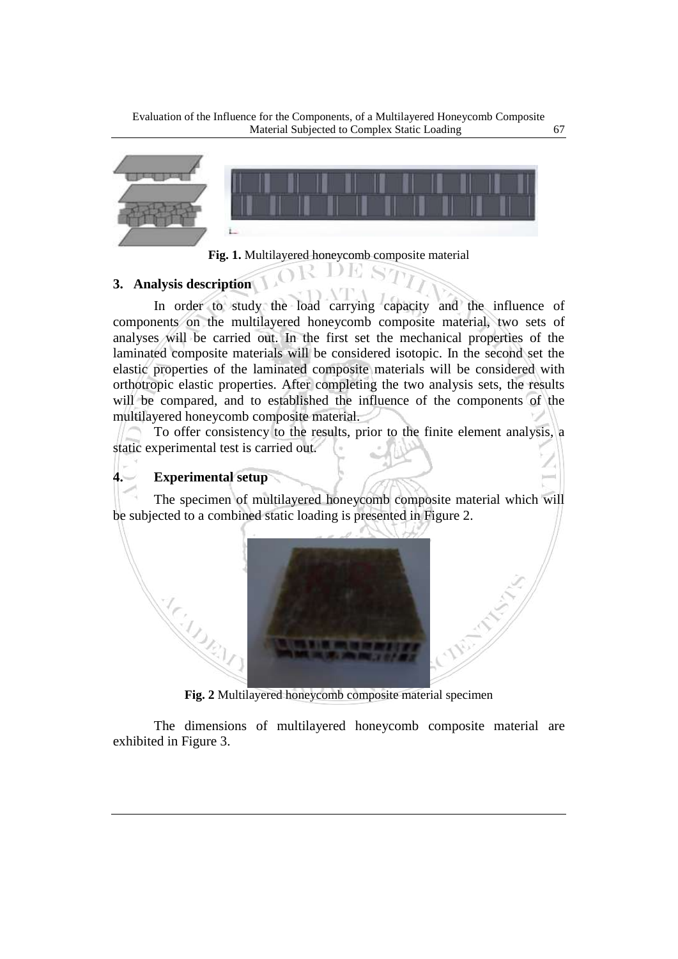Evaluation of the Influence for the Components, of a Multilayered Honeycomb Composite Material Subjected to Complex Static Loading 67





D 16

## **3. Analysis description**

In order to study the load carrying capacity and the influence of components on the multilayered honeycomb composite material, two sets of analyses will be carried out. In the first set the mechanical properties of the laminated composite materials will be considered isotopic. In the second set the elastic properties of the laminated composite materials will be considered with orthotropic elastic properties. After completing the two analysis sets, the results will be compared, and to established the influence of the components of the multilayered honeycomb composite material.

To offer consistency to the results, prior to the finite element analysis, a static experimental test is carried out.

#### **4. Experimental setup**

The specimen of multilayered honeycomb composite material which will be subjected to a combined static loading is presented in Figure 2.



**Fig. 2** Multilayered honeycomb composite material specimen

The dimensions of multilayered honeycomb composite material are exhibited in Figure 3.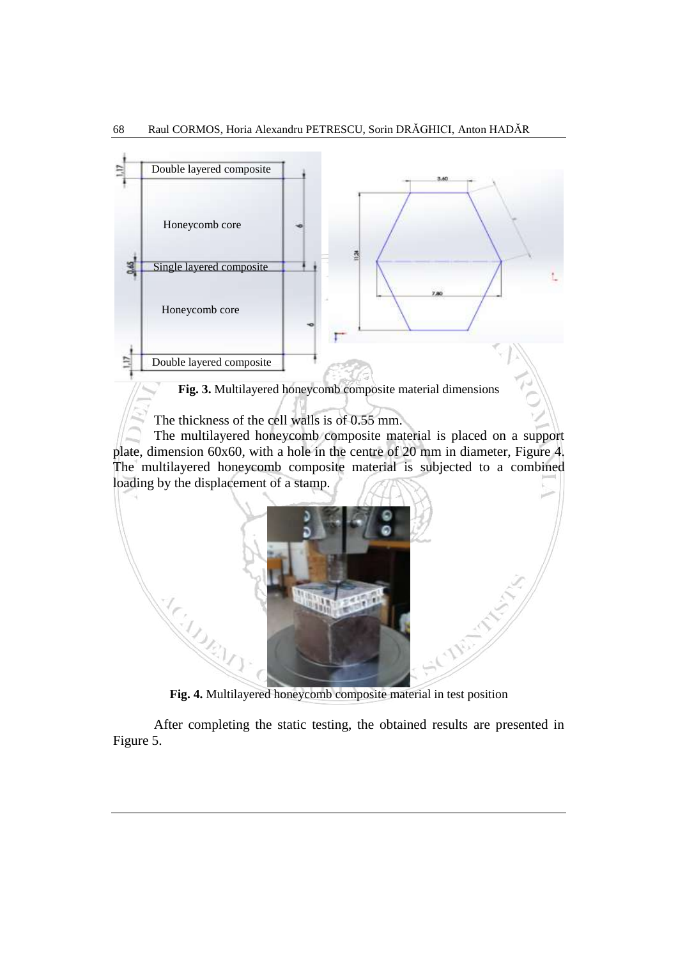

**Fig. 4.** Multilayered honeycomb composite material in test position

After completing the static testing, the obtained results are presented in Figure 5.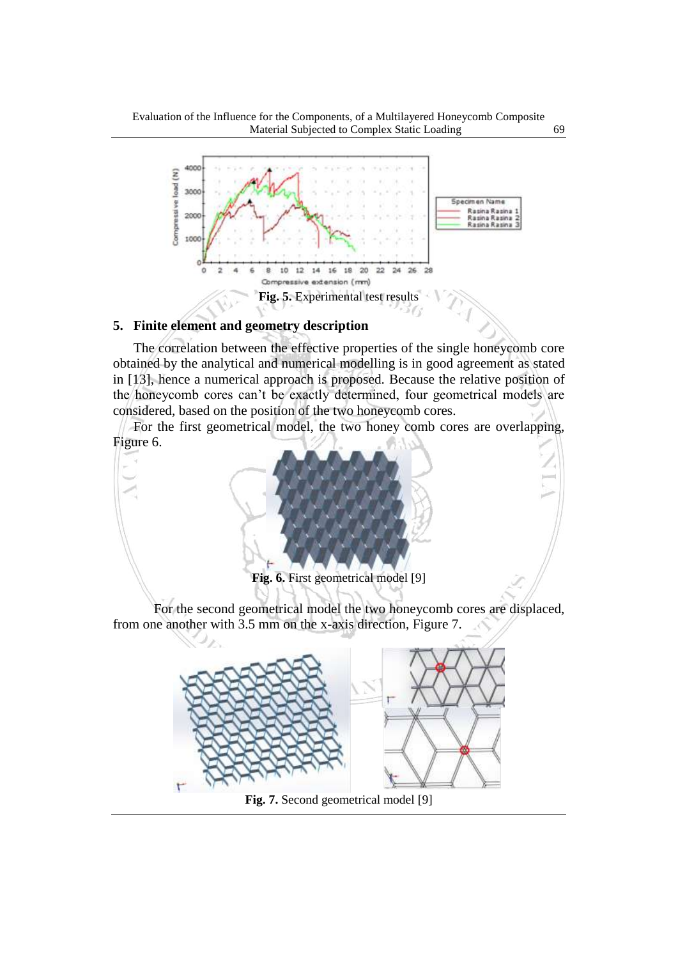

#### **5. Finite element and geometry description**

٢

The correlation between the effective properties of the single honeycomb core obtained by the analytical and numerical modelling is in good agreement as stated in [13], hence a numerical approach is proposed. Because the relative position of the honeycomb cores can't be exactly determined, four geometrical models are considered, based on the position of the two honeycomb cores.

 For the first geometrical model, the two honey comb cores are overlapping, Figure 6.



**Fig. 7.** Second geometrical model [9]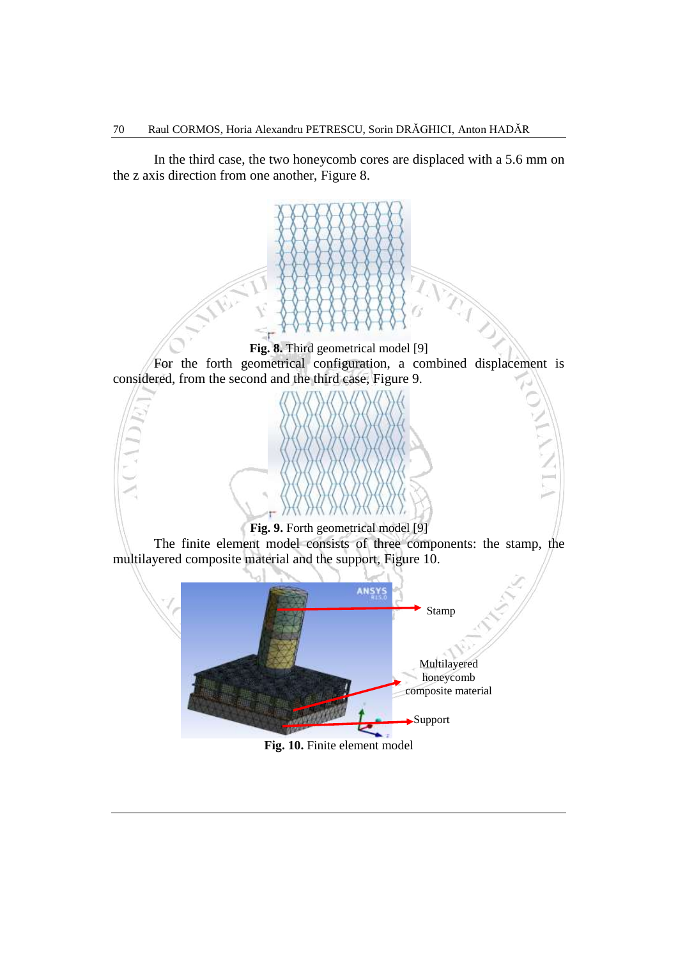In the third case, the two honeycomb cores are displaced with a 5.6 mm on the z axis direction from one another, Figure 8.



**Fig. 10.** Finite element model Support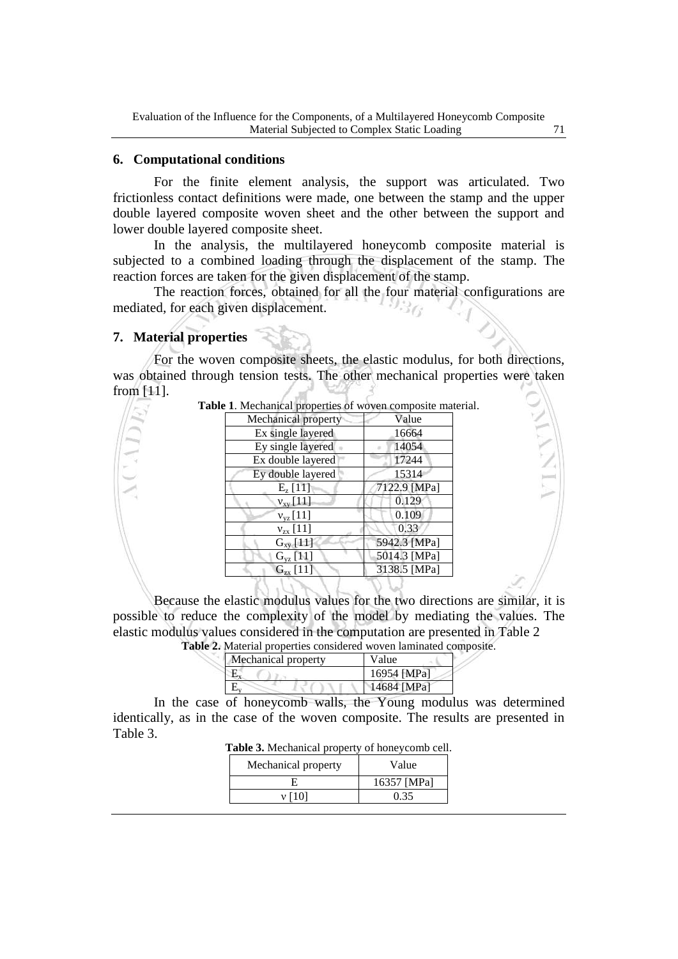#### **6. Computational conditions**

For the finite element analysis, the support was articulated. Two frictionless contact definitions were made, one between the stamp and the upper double layered composite woven sheet and the other between the support and lower double layered composite sheet.

In the analysis, the multilayered honeycomb composite material is subjected to a combined loading through the displacement of the stamp. The reaction forces are taken for the given displacement of the stamp.

The reaction forces, obtained for all the four material configurations are mediated, for each given displacement.

#### **7. Material properties**

For the woven composite sheets, the elastic modulus, for both directions, was obtained through tension tests. The other mechanical properties were taken from [11]. TNYIN

|                     | Value        |
|---------------------|--------------|
| Mechanical property |              |
| Ex single layered   | 16664        |
| Ey single layered   | 14054        |
| Ex double layered   | 17244        |
| Ey double layered   | 15314        |
| $E_{z}$ [11]        | 7122.9 [MPa] |
| $v_{xy}$ [11]       | 0.129        |
| $v_{yz}$ [11]       | 0.109        |
| $v_{zx}$ [11]       | 0.33         |
| $G_{xy}$ [11]       | 5942.3 [MPa] |
| $G_{vz}$ [11]       | 5014.3 [MPa] |
| $G_{zx}$ [11]       | 3138.5 [MPa] |

**Table 1**. Mechanical properties of woven composite material.

Because the elastic modulus values for the two directions are similar, it is possible to reduce the complexity of the model by mediating the values. The elastic modulus values considered in the computation are presented in Table 2 **Table 2.** Material properties considered woven laminated composite.

| Mechanical property | Value       |
|---------------------|-------------|
|                     | 16954 [MPa] |
|                     | 14684 [MPa] |

In the case of honeycomb walls, the Young modulus was determined identically, as in the case of the woven composite. The results are presented in Table 3.

| Table 3. Mechanical property of honeycomb cell. |  |  |  |  |  |  |
|-------------------------------------------------|--|--|--|--|--|--|
|-------------------------------------------------|--|--|--|--|--|--|

| Mechanical property | Value       |  |  |
|---------------------|-------------|--|--|
|                     | 16357 [MPa] |  |  |
|                     | 0.35        |  |  |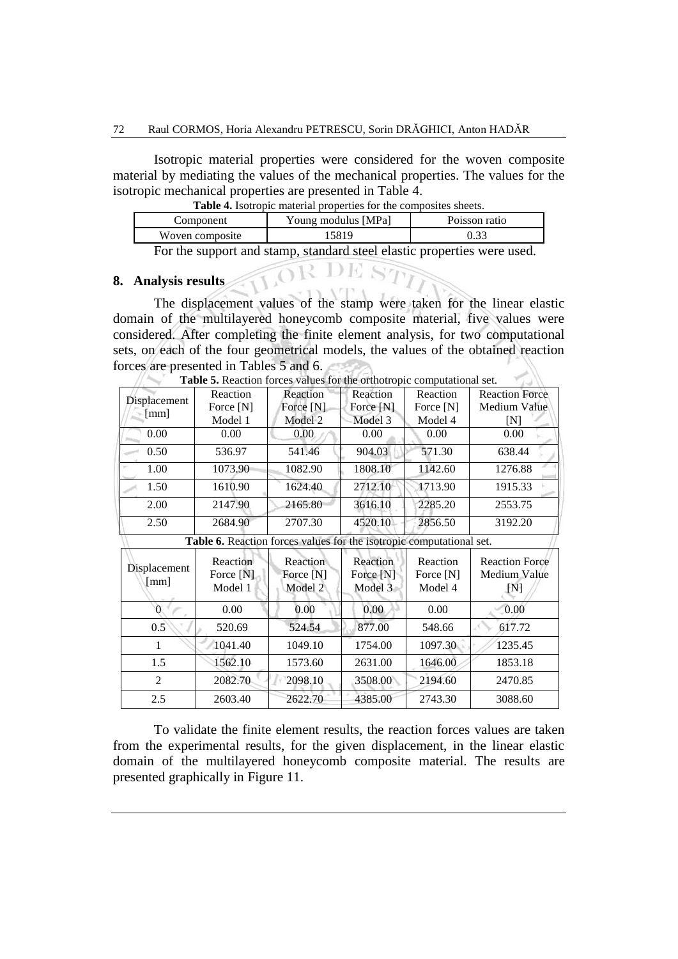Isotropic material properties were considered for the woven composite material by mediating the values of the mechanical properties. The values for the isotropic mechanical properties are presented in Table 4.

**Table 4.** Isotropic material properties for the composites sheets.

| Component       | Young modulus [MPa] | Poisson ratio |  |  |
|-----------------|---------------------|---------------|--|--|
| Woven composite | 5819                |               |  |  |
|                 |                     |               |  |  |

For the support and stamp, standard steel elastic properties were used.

### **8. Analysis results**

The displacement values of the stamp were taken for the linear elastic domain of the multilayered honeycomb composite material, five values were considered. After completing the finite element analysis, for two computational sets, on each of the four geometrical models, the values of the obtained reaction forces are presented in Tables 5 and 6.

|                | Reaction  | Reaction                                                             | Reaction    | Reaction  | <b>Reaction Force</b> |
|----------------|-----------|----------------------------------------------------------------------|-------------|-----------|-----------------------|
| Displacement   | Force [N] | Force [N]                                                            | Force $[N]$ | Force [N] | <b>Medium Value</b>   |
| [mm]           | Model 1   | Model 2                                                              | Model 3     | Model 4   | ſΝl                   |
| 0.00           | 0.00      | 0.00                                                                 | 0.00        | 0.00      | 0.00                  |
| 0.50           | 536.97    | 541.46                                                               | 904.03      | 571.30    | 638.44                |
| 1.00           | 1073.90   | 1082.90                                                              | 1808.10     | 1142.60   | 1276.88               |
| 1.50           | 1610.90   | 1624.40                                                              | 2712.10     | 1713.90   | 1915.33               |
| 2.00           | 2147.90   | 2165.80                                                              | 3616.10     | 2285.20   | 2553.75               |
| 2.50           | 2684.90   | 2707.30                                                              | 4520.10     | 2856.50   | 3192.20               |
|                |           | Table 6. Reaction forces values for the isotropic computational set. |             |           |                       |
|                | Reaction  | Reaction                                                             | Reaction    | Reaction  | <b>Reaction Force</b> |
| Displacement   | Force [N] | Force [N]                                                            | Force $[N]$ | Force [N] | Medium Value          |
| [mm]           | Model 1   | Model 2                                                              | Model 3     | Model 4   | [N]                   |
|                | 0.00      | 0.00                                                                 | 0.00        | 0.00      | 0.00                  |
| 0.5            | 520.69    | 524.54                                                               | 877.00      | 548.66    | 617.72                |
| 1              | 1041.40   | 1049.10                                                              | 1754.00     | 1097.30   | 1235.45               |
| 1.5            | 1562.10   | 1573.60                                                              | 2631.00     | 1646.00   | 1853.18               |
| $\overline{2}$ | 2082.70   | 2098.10                                                              | 3508.00     | 2194.60   | 2470.85               |
| 2.5            | 2603.40   | 2622.70                                                              | 4385.00     | 2743.30   | 3088.60               |

**Table 5.** Reaction forces values for the orthotropic computational set.

To validate the finite element results, the reaction forces values are taken from the experimental results, for the given displacement, in the linear elastic domain of the multilayered honeycomb composite material. The results are presented graphically in Figure 11.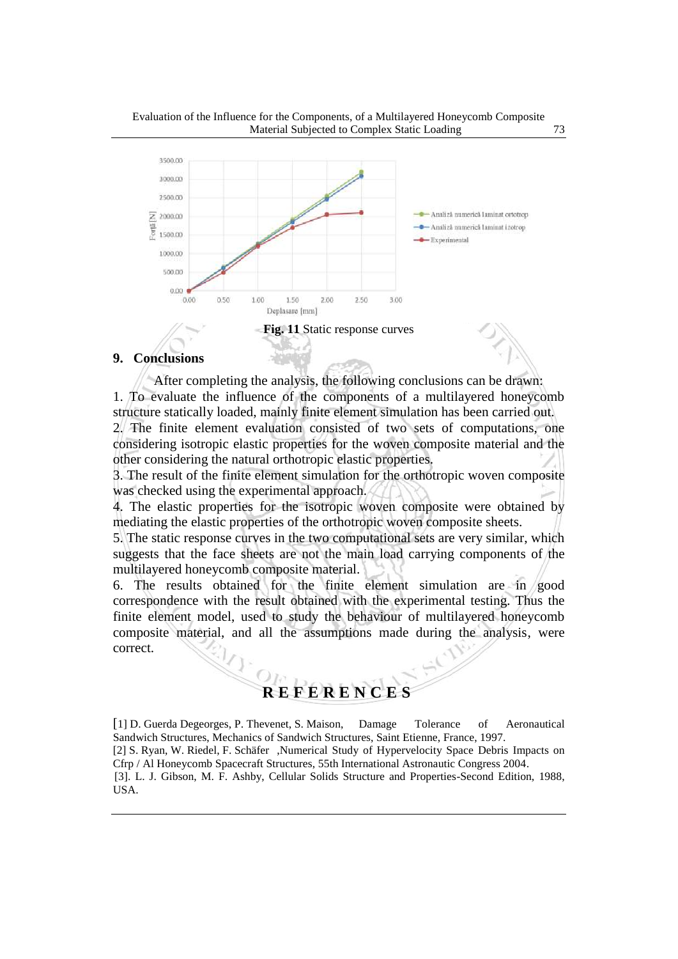



## **9. Conclusions**

After completing the analysis, the following conclusions can be drawn: 1. To evaluate the influence of the components of a multilayered honeycomb structure statically loaded, mainly finite element simulation has been carried out.

2. The finite element evaluation consisted of two sets of computations, one considering isotropic elastic properties for the woven composite material and the other considering the natural orthotropic elastic properties.

3. The result of the finite element simulation for the orthotropic woven composite was checked using the experimental approach.

4. The elastic properties for the isotropic woven composite were obtained by mediating the elastic properties of the orthotropic woven composite sheets.

5. The static response curves in the two computational sets are very similar, which suggests that the face sheets are not the main load carrying components of the multilayered honeycomb composite material.

6. The results obtained for the finite element simulation are in good correspondence with the result obtained with the experimental testing. Thus the finite element model, used to study the behaviour of multilayered honeycomb composite material, and all the assumptions made during the analysis, were correct.

# **R E F E R E N C E S**

[1] D. Guerda Degeorges, P. Thevenet, S. Maison, Damage Tolerance of Aeronautical Sandwich Structures, Mechanics of Sandwich Structures, Saint Etienne, France, 1997. [2] S. Ryan, W. Riedel, F. Schäfer ,Numerical Study of Hypervelocity Space Debris Impacts on Cfrp / Al Honeycomb Spacecraft Structures, 55th International Astronautic Congress 2004. [3]. L. J. Gibson, M. F. Ashby, Cellular Solids Structure and Properties-Second Edition, 1988, USA.